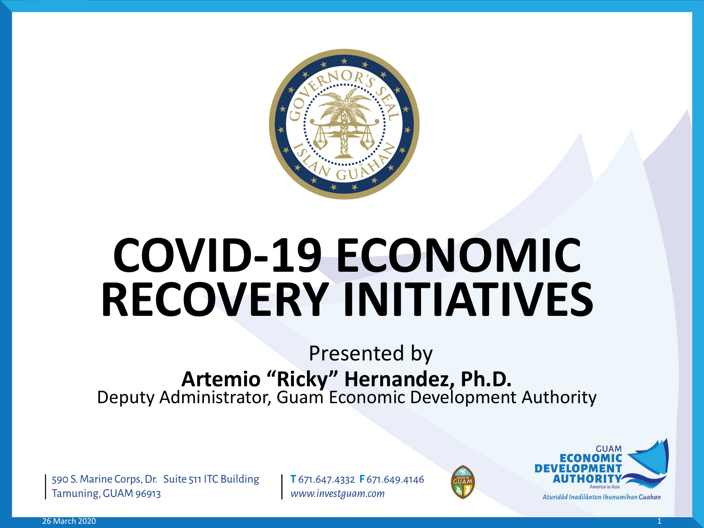

# **COVID-19 ECONOMIC RECOVERY INITIATIVES**

# Presented by **Artemio "Ricky" Hernandez, Ph.D.** Deputy Administrator, Guam Economic Development Authority

590 S. Marine Corps, Dr. Suite 511 ITC Building Tamuning, GUAM 96913

T 671.647.4332 F 671.649.4146 www.investguam.com



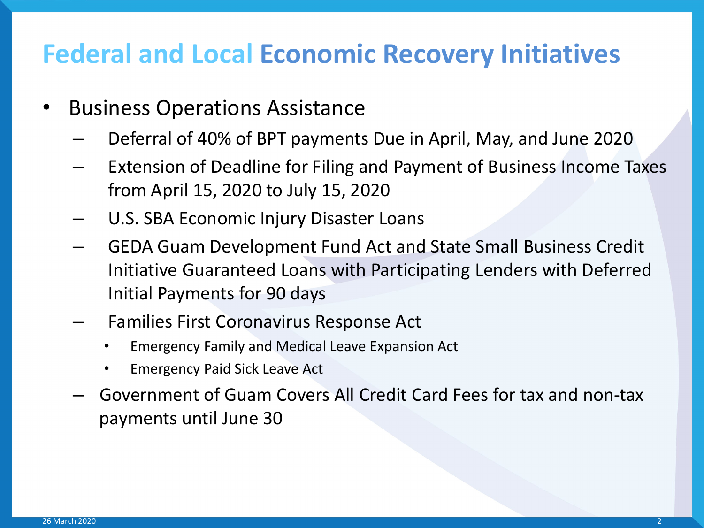#### **Federal and Local Economic Recovery Initiatives**

- Business Operations Assistance
	- Deferral of 40% of BPT payments Due in April, May, and June 2020
	- Extension of Deadline for Filing and Payment of Business Income Taxes from April 15, 2020 to July 15, 2020
	- U.S. SBA Economic Injury Disaster Loans
	- GEDA Guam Development Fund Act and State Small Business Credit Initiative Guaranteed Loans with Participating Lenders with Deferred Initial Payments for 90 days
	- Families First Coronavirus Response Act
		- Emergency Family and Medical Leave Expansion Act
		- Emergency Paid Sick Leave Act
	- Government of Guam Covers All Credit Card Fees for tax and non-tax payments until June 30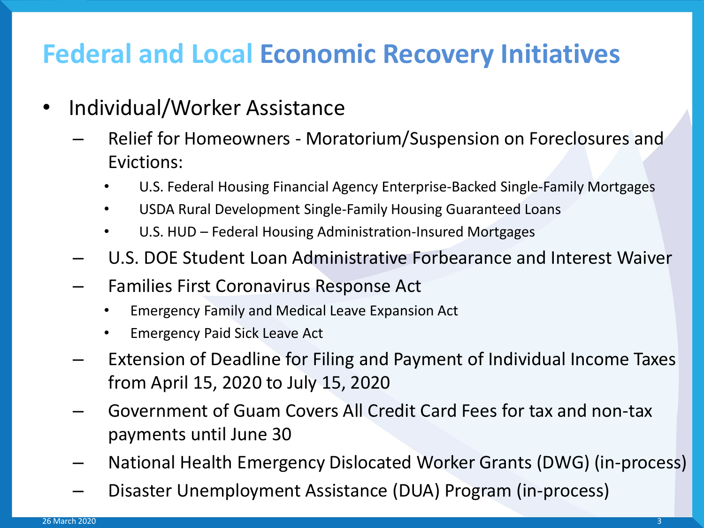# **Federal and Local Economic Recovery Initiatives**

- Individual/Worker Assistance
	- Relief for Homeowners Moratorium/Suspension on Foreclosures and Evictions:
		- U.S. Federal Housing Financial Agency Enterprise-Backed Single-Family Mortgages
		- USDA Rural Development Single-Family Housing Guaranteed Loans
		- U.S. HUD Federal Housing Administration-Insured Mortgages
	- U.S. DOE Student Loan Administrative Forbearance and Interest Waiver
	- Families First Coronavirus Response Act
		- Emergency Family and Medical Leave Expansion Act
		- Emergency Paid Sick Leave Act
	- Extension of Deadline for Filing and Payment of Individual Income Taxes from April 15, 2020 to July 15, 2020
	- Government of Guam Covers All Credit Card Fees for tax and non-tax payments until June 30
	- National Health Emergency Dislocated Worker Grants (DWG) (in-process)
	- Disaster Unemployment Assistance (DUA) Program (in-process)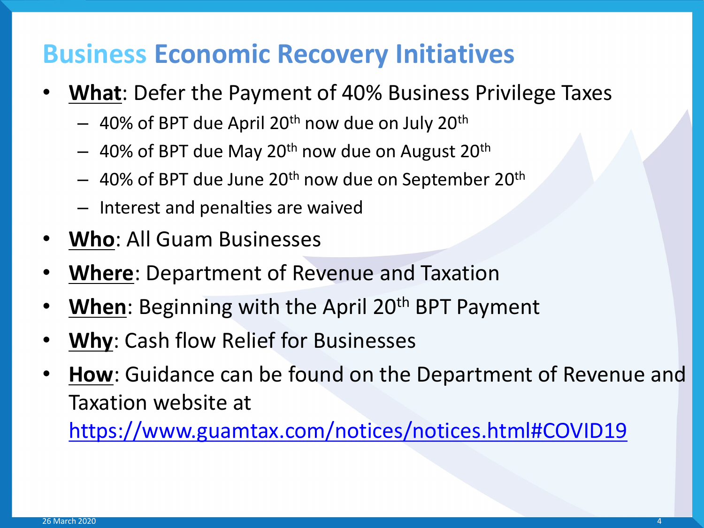- **What**: Defer the Payment of 40% Business Privilege Taxes
	- $-$  40% of BPT due April 20<sup>th</sup> now due on July 20<sup>th</sup>
	- $-$  40% of BPT due May 20<sup>th</sup> now due on August 20<sup>th</sup>
	- $-$  40% of BPT due June 20<sup>th</sup> now due on September 20<sup>th</sup>
	- Interest and penalties are waived
- **Who**: All Guam Businesses
- **Where**: Department of Revenue and Taxation
- **When**: Beginning with the April 20<sup>th</sup> BPT Payment
- **Why:** Cash flow Relief for Businesses
- How: Guidance can be found on the Department of Revenue and Taxation website at

<https://www.guamtax.com/notices/notices.html#COVID19>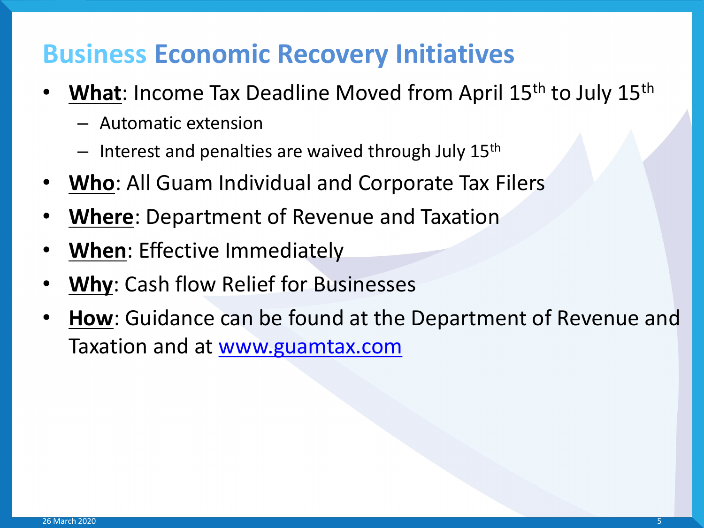- **What:** Income Tax Deadline Moved from April 15<sup>th</sup> to July 15<sup>th</sup>
	- Automatic extension
	- $-$  Interest and penalties are waived through July 15<sup>th</sup>
- **Who**: All Guam Individual and Corporate Tax Filers
- **Where**: Department of Revenue and Taxation
- **When**: Effective Immediately
- **Why**: Cash flow Relief for Businesses
- **How**: Guidance can be found at the Department of Revenue and Taxation and at [www.guamtax.com](http://www.guamtax.com/)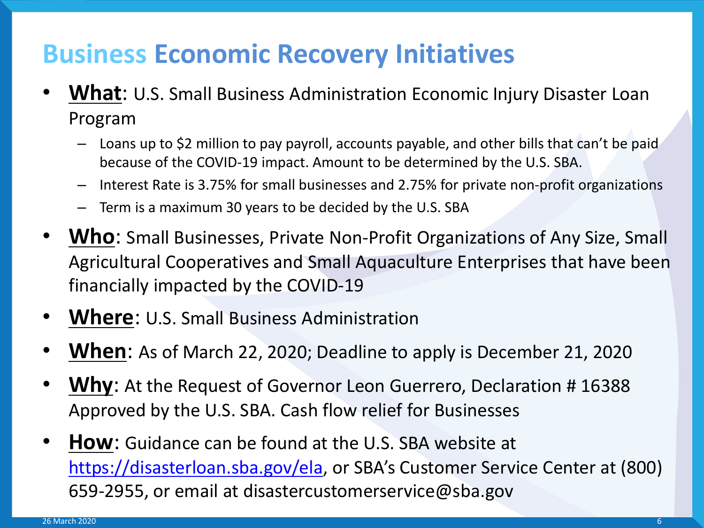- **What**: U.S. Small Business Administration Economic Injury Disaster Loan Program
	- Loans up to \$2 million to pay payroll, accounts payable, and other bills that can't be paid because of the COVID-19 impact. Amount to be determined by the U.S. SBA.
	- Interest Rate is 3.75% for small businesses and 2.75% for private non-profit organizations
	- Term is a maximum 30 years to be decided by the U.S. SBA
- **Who**: Small Businesses, Private Non-Profit Organizations of Any Size, Small Agricultural Cooperatives and Small Aquaculture Enterprises that have been financially impacted by the COVID-19
- **Where**: U.S. Small Business Administration
- **When**: As of March 22, 2020; Deadline to apply is December 21, 2020
- **Why**: At the Request of Governor Leon Guerrero, Declaration # 16388 Approved by the U.S. SBA. Cash flow relief for Businesses
- **How**: Guidance can be found at the U.S. SBA website at <https://disasterloan.sba.gov/ela>, or SBA's Customer Service Center at (800) 659-2955, or email at disastercustomerservice@sba.gov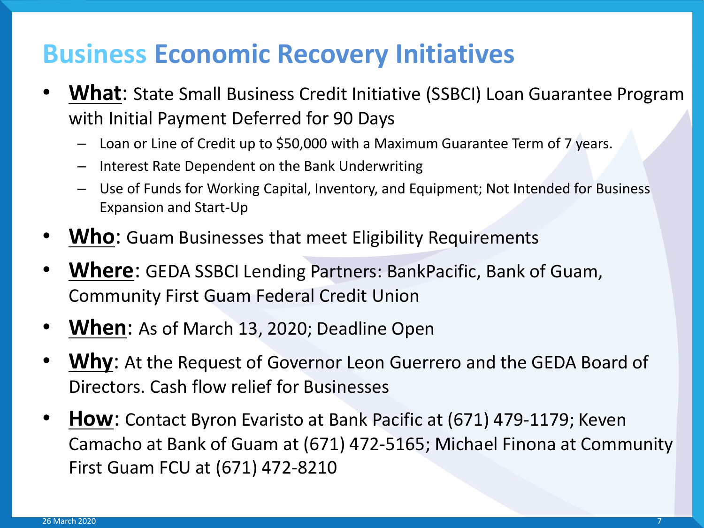- **What**: State Small Business Credit Initiative (SSBCI) Loan Guarantee Program with Initial Payment Deferred for 90 Days
	- Loan or Line of Credit up to \$50,000 with a Maximum Guarantee Term of 7 years.
	- Interest Rate Dependent on the Bank Underwriting
	- Use of Funds for Working Capital, Inventory, and Equipment; Not Intended for Business Expansion and Start-Up
- **Who**: Guam Businesses that meet Eligibility Requirements
- **Where**: GEDA SSBCI Lending Partners: BankPacific, Bank of Guam, Community First Guam Federal Credit Union
- **When**: As of March 13, 2020; Deadline Open
- **Why**: At the Request of Governor Leon Guerrero and the GEDA Board of Directors. Cash flow relief for Businesses
- **How**: Contact Byron Evaristo at Bank Pacific at (671) 479-1179; Keven Camacho at Bank of Guam at (671) 472-5165; Michael Finona at Community First Guam FCU at (671) 472-8210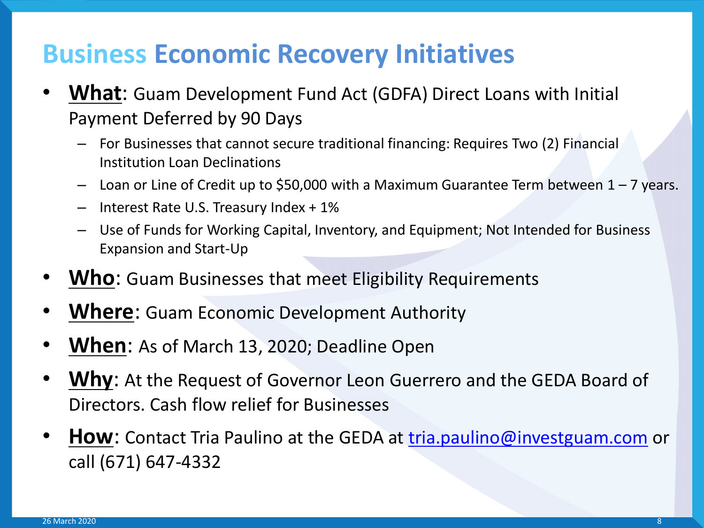- **What**: Guam Development Fund Act (GDFA) Direct Loans with Initial Payment Deferred by 90 Days
	- For Businesses that cannot secure traditional financing: Requires Two (2) Financial Institution Loan Declinations
	- Loan or Line of Credit up to \$50,000 with a Maximum Guarantee Term between 1 7 years.
	- Interest Rate U.S. Treasury Index + 1%
	- Use of Funds for Working Capital, Inventory, and Equipment; Not Intended for Business Expansion and Start-Up
- **Who**: Guam Businesses that meet Eligibility Requirements
- **Where**: Guam Economic Development Authority
- **When**: As of March 13, 2020; Deadline Open
- Why: At the Request of Governor Leon Guerrero and the GEDA Board of Directors. Cash flow relief for Businesses
- **How**: Contact Tria Paulino at the GEDA at [tria.paulino@investguam.com](mailto:tria.paulino@investguam.com) or call (671) 647-4332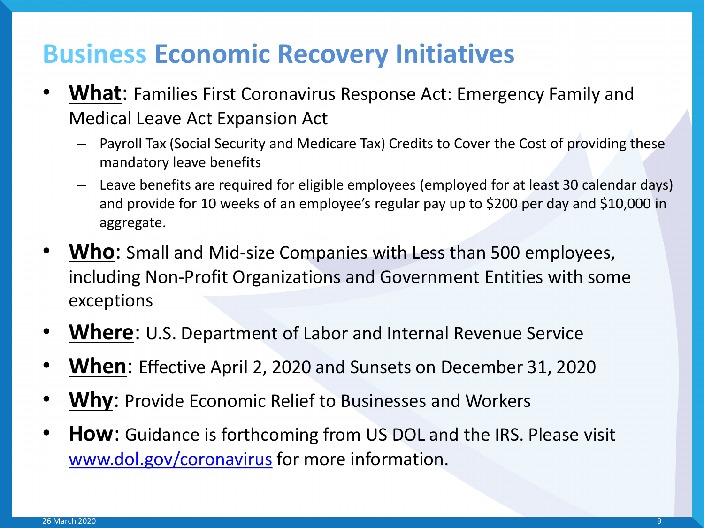- **What**: Families First Coronavirus Response Act: Emergency Family and Medical Leave Act Expansion Act
	- Payroll Tax (Social Security and Medicare Tax) Credits to Cover the Cost of providing these mandatory leave benefits
	- Leave benefits are required for eligible employees (employed for at least 30 calendar days) and provide for 10 weeks of an employee's regular pay up to \$200 per day and \$10,000 in aggregate.
- **Who**: Small and Mid-size Companies with Less than 500 employees, including Non-Profit Organizations and Government Entities with some exceptions
- **Where**: U.S. Department of Labor and Internal Revenue Service
- **When**: Effective April 2, 2020 and Sunsets on December 31, 2020
- **Why:** Provide Economic Relief to Businesses and Workers
- **How:** Guidance is forthcoming from US DOL and the IRS. Please visit [www.dol.gov/coronavirus](http://www.dol.gov/coronavirus) for more information.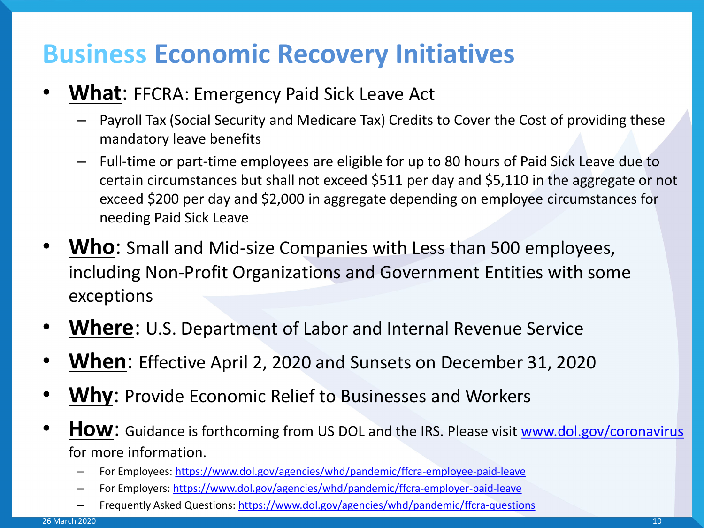- **What: FFCRA: Emergency Paid Sick Leave Act** 
	- Payroll Tax (Social Security and Medicare Tax) Credits to Cover the Cost of providing these mandatory leave benefits
	- Full-time or part-time employees are eligible for up to 80 hours of Paid Sick Leave due to certain circumstances but shall not exceed \$511 per day and \$5,110 in the aggregate or not exceed \$200 per day and \$2,000 in aggregate depending on employee circumstances for needing Paid Sick Leave
- Who: Small and Mid-size Companies with Less than 500 employees, including Non-Profit Organizations and Government Entities with some exceptions
- **Where**: U.S. Department of Labor and Internal Revenue Service
- **When**: Effective April 2, 2020 and Sunsets on December 31, 2020
- **Why**: Provide Economic Relief to Businesses and Workers
- **HOW:** Guidance is forthcoming from US DOL and the IRS. Please visit [www.dol.gov/coronavirus](http://www.dol.gov/coronavirus) for more information.
	- For Employees:<https://www.dol.gov/agencies/whd/pandemic/ffcra-employee-paid-leave>
	- For Employers:<https://www.dol.gov/agencies/whd/pandemic/ffcra-employer-paid-leave>
	- Frequently Asked Questions: <https://www.dol.gov/agencies/whd/pandemic/ffcra-questions>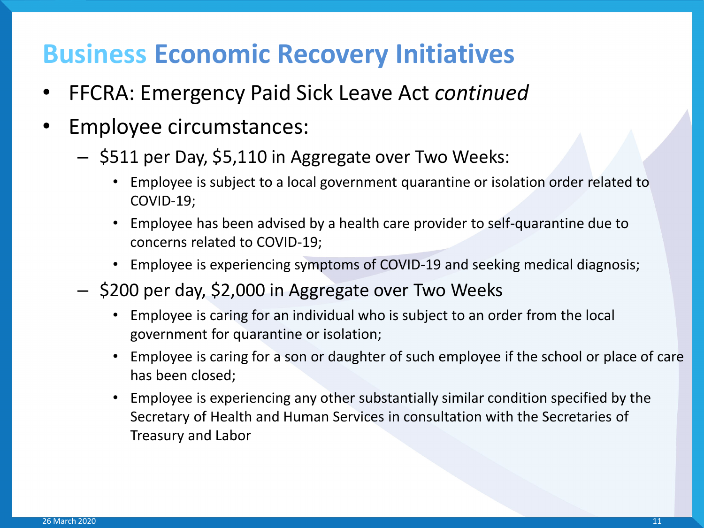- FFCRA: Emergency Paid Sick Leave Act *continued*
- Employee circumstances:
	- \$511 per Day, \$5,110 in Aggregate over Two Weeks:
		- Employee is subject to a local government quarantine or isolation order related to COVID-19;
		- Employee has been advised by a health care provider to self-quarantine due to concerns related to COVID-19;
		- Employee is experiencing symptoms of COVID-19 and seeking medical diagnosis;
	- \$200 per day, \$2,000 in Aggregate over Two Weeks
		- Employee is caring for an individual who is subject to an order from the local government for quarantine or isolation;
		- Employee is caring for a son or daughter of such employee if the school or place of care has been closed;
		- Employee is experiencing any other substantially similar condition specified by the Secretary of Health and Human Services in consultation with the Secretaries of Treasury and Labor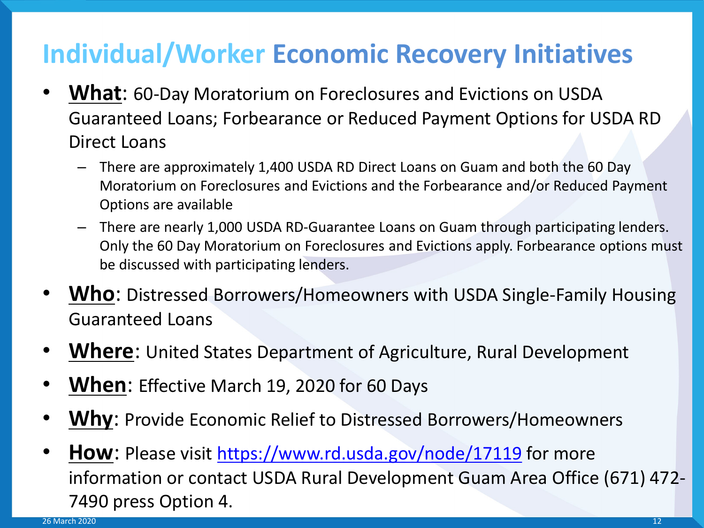- **What**: 60-Day Moratorium on Foreclosures and Evictions on USDA Guaranteed Loans; Forbearance or Reduced Payment Options for USDA RD Direct Loans
	- There are approximately 1,400 USDA RD Direct Loans on Guam and both the 60 Day Moratorium on Foreclosures and Evictions and the Forbearance and/or Reduced Payment Options are available
	- There are nearly 1,000 USDA RD-Guarantee Loans on Guam through participating lenders. Only the 60 Day Moratorium on Foreclosures and Evictions apply. Forbearance options must be discussed with participating lenders.
- **Who**: Distressed Borrowers/Homeowners with USDA Single-Family Housing Guaranteed Loans
- Where: United States Department of Agriculture, Rural Development
- **When**: Effective March 19, 2020 for 60 Days
- **Why**: Provide Economic Relief to Distressed Borrowers/Homeowners
- **How**: Please visit <https://www.rd.usda.gov/node/17119> for more information or contact USDA Rural Development Guam Area Office (671) 472- 7490 press Option 4.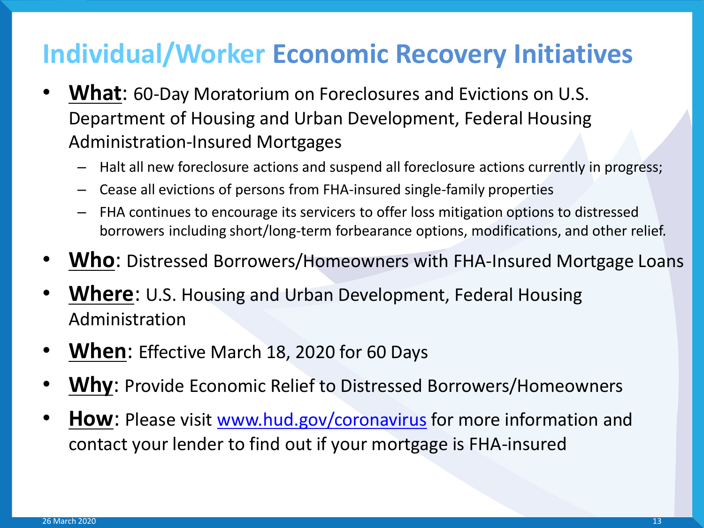- **What**: 60-Day Moratorium on Foreclosures and Evictions on U.S. Department of Housing and Urban Development, Federal Housing Administration-Insured Mortgages
	- Halt all new foreclosure actions and suspend all foreclosure actions currently in progress;
	- Cease all evictions of persons from FHA-insured single-family properties
	- FHA continues to encourage its servicers to offer loss mitigation options to distressed borrowers including short/long-term forbearance options, modifications, and other relief.
- **Who**: Distressed Borrowers/Homeowners with FHA-Insured Mortgage Loans
- **Where**: U.S. Housing and Urban Development, Federal Housing Administration
- **When**: Effective March 18, 2020 for 60 Days
- **Why**: Provide Economic Relief to Distressed Borrowers/Homeowners
- **How**: Please visit [www.hud.gov/coronavirus](http://www.hud.gov/coronavirus) for more information and contact your lender to find out if your mortgage is FHA-insured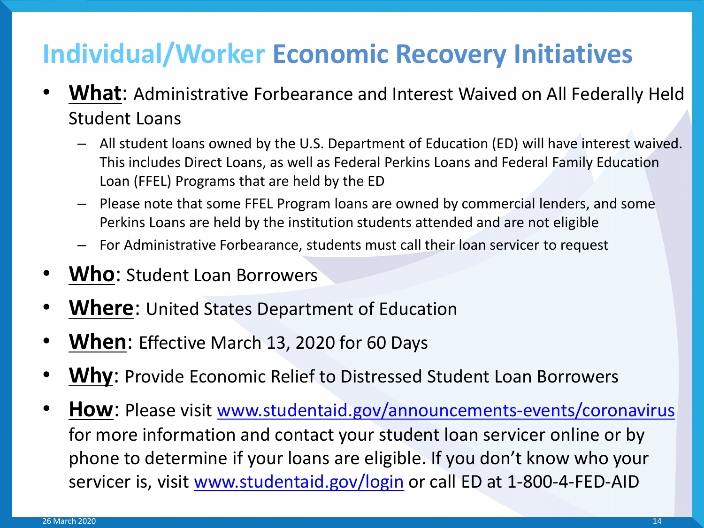- **What**: Administrative Forbearance and Interest Waived on All Federally Held Student Loans
	- All student loans owned by the U.S. Department of Education (ED) will have interest waived. This includes Direct Loans, as well as Federal Perkins Loans and Federal Family Education Loan (FFEL) Programs that are held by the ED
	- Please note that some FFEL Program loans are owned by commercial lenders, and some Perkins Loans are held by the institution students attended and are not eligible
	- For Administrative Forbearance, students must call their loan servicer to request
- **Who**: Student Loan Borrowers
- **Where:** United States Department of Education
- **When**: Effective March 13, 2020 for 60 Days
- **Why**: Provide Economic Relief to Distressed Student Loan Borrowers
- **How**: Please visit [www.studentaid.gov/announcements-events/coronavirus](http://www.studentaid.gov/announcements-events/coronavirus) for more information and contact your student loan servicer online or by phone to determine if your loans are eligible. If you don't know who your servicer is, visit [www.studentaid.gov/login](http://www.studentaid.gov/login) or call ED at 1-800-4-FED-AID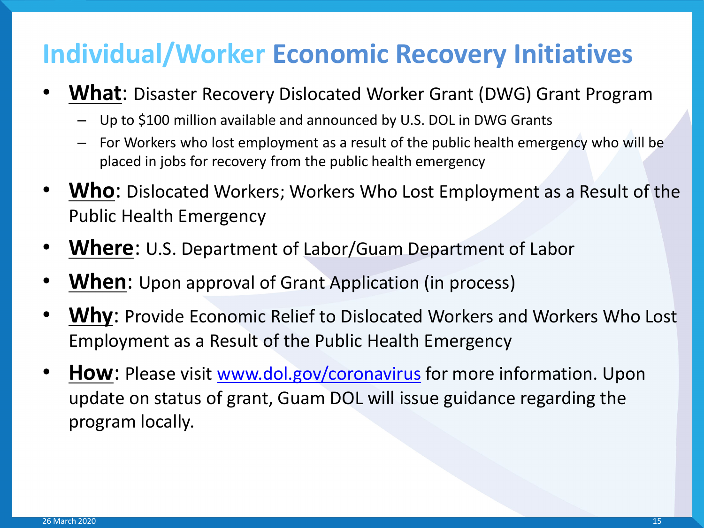- **What**: Disaster Recovery Dislocated Worker Grant (DWG) Grant Program
	- Up to \$100 million available and announced by U.S. DOL in DWG Grants
	- For Workers who lost employment as a result of the public health emergency who will be placed in jobs for recovery from the public health emergency
- **Who**: Dislocated Workers; Workers Who Lost Employment as a Result of the Public Health Emergency
- **Where**: U.S. Department of Labor/Guam Department of Labor
- **When:** Upon approval of Grant Application (in process)
- **Why**: Provide Economic Relief to Dislocated Workers and Workers Who Lost Employment as a Result of the Public Health Emergency
- **How**: Please visit [www.dol.gov/coronavirus](http://www.dol.gov/coronavirus) for more information. Upon update on status of grant, Guam DOL will issue guidance regarding the program locally.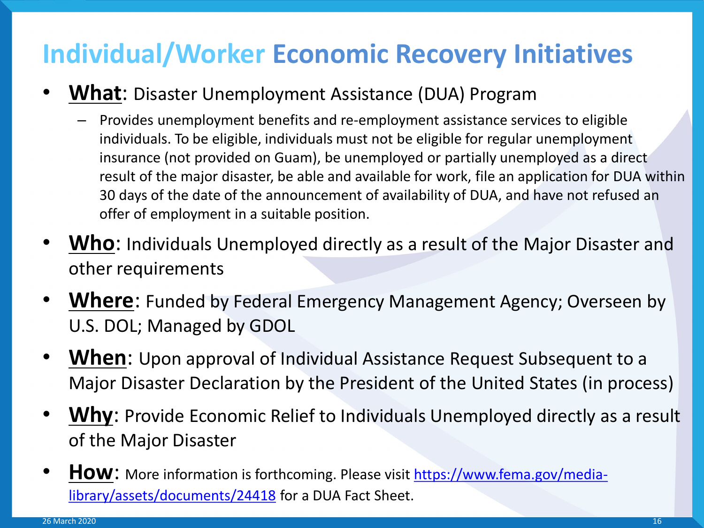- **What**: Disaster Unemployment Assistance (DUA) Program
	- Provides unemployment benefits and re-employment assistance services to eligible individuals. To be eligible, individuals must not be eligible for regular unemployment insurance (not provided on Guam), be unemployed or partially unemployed as a direct result of the major disaster, be able and available for work, file an application for DUA within 30 days of the date of the announcement of availability of DUA, and have not refused an offer of employment in a suitable position.
- **Who**: Individuals Unemployed directly as a result of the Major Disaster and other requirements
- **Where:** Funded by Federal Emergency Management Agency; Overseen by U.S. DOL; Managed by GDOL
- **When**: Upon approval of Individual Assistance Request Subsequent to a Major Disaster Declaration by the President of the United States (in process)
- **Why**: Provide Economic Relief to Individuals Unemployed directly as a result of the Major Disaster
- **How**[: More information is forthcoming. Please visit https://www.fema.gov/media](https://www.fema.gov/media-library/assets/documents/24418)library/assets/documents/24418 for a DUA Fact Sheet.